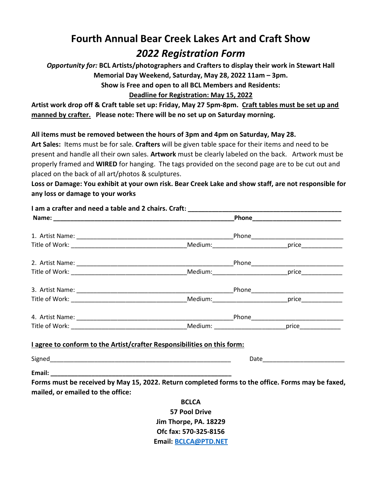## Fourth Annual Bear Creek Lakes Art and Craft Show 2022 Registration Form

Opportunity for: BCL Artists/photographers and Crafters to display their work in Stewart Hall Memorial Day Weekend, Saturday, May 28, 2022 11am – 3pm.

Show is Free and open to all BCL Members and Residents:

## Deadline for Registration: May 15, 2022

Artist work drop off & Craft table set up: Friday, May 27 5pm-8pm. Craft tables must be set up and manned by crafter. Please note: There will be no set up on Saturday morning.

## All items must be removed between the hours of 3pm and 4pm on Saturday, May 28.

Art Sales: Items must be for sale. Crafters will be given table space for their items and need to be present and handle all their own sales. Artwork must be clearly labeled on the back. Artwork must be properly framed and WIRED for hanging. The tags provided on the second page are to be cut out and placed on the back of all art/photos & sculptures.

Loss or Damage: You exhibit at your own risk. Bear Creek Lake and show staff, are not responsible for any loss or damage to your works

|                                   | I agree to conform to the Artist/crafter Responsibilities on this form: |                                                                                                   |
|-----------------------------------|-------------------------------------------------------------------------|---------------------------------------------------------------------------------------------------|
|                                   |                                                                         |                                                                                                   |
|                                   |                                                                         |                                                                                                   |
| mailed, or emailed to the office: |                                                                         | Forms must be received by May 15, 2022. Return completed forms to the office. Forms may be faxed, |
|                                   | <b>BCLCA</b>                                                            |                                                                                                   |
|                                   | <b>57 Pool Drive</b>                                                    |                                                                                                   |
|                                   | Jim Thorpe, PA. 18229                                                   |                                                                                                   |

Ofc fax: 570-325-8156 Email: BCLCA@PTD.NET